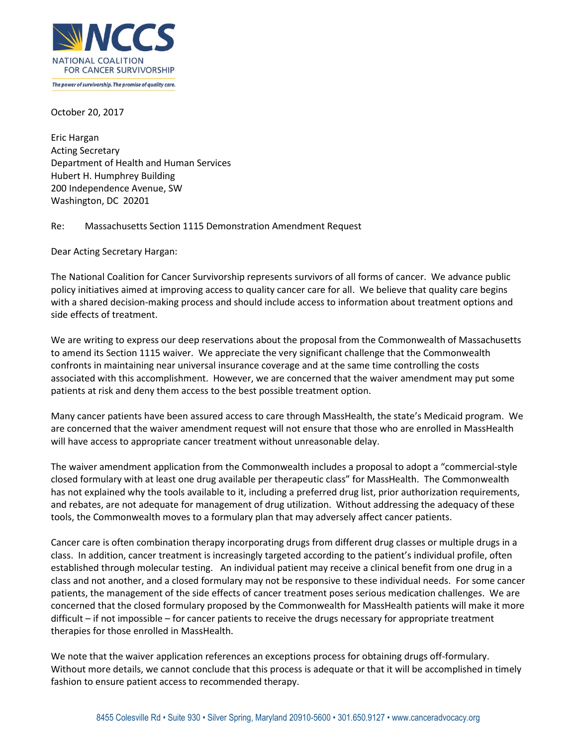

October 20, 2017

Eric Hargan Acting Secretary Department of Health and Human Services Hubert H. Humphrey Building 200 Independence Avenue, SW Washington, DC 20201

Re: Massachusetts Section 1115 Demonstration Amendment Request

Dear Acting Secretary Hargan:

The National Coalition for Cancer Survivorship represents survivors of all forms of cancer. We advance public policy initiatives aimed at improving access to quality cancer care for all. We believe that quality care begins with a shared decision-making process and should include access to information about treatment options and side effects of treatment.

We are writing to express our deep reservations about the proposal from the Commonwealth of Massachusetts to amend its Section 1115 waiver. We appreciate the very significant challenge that the Commonwealth confronts in maintaining near universal insurance coverage and at the same time controlling the costs associated with this accomplishment. However, we are concerned that the waiver amendment may put some patients at risk and deny them access to the best possible treatment option.

Many cancer patients have been assured access to care through MassHealth, the state's Medicaid program. We are concerned that the waiver amendment request will not ensure that those who are enrolled in MassHealth will have access to appropriate cancer treatment without unreasonable delay.

The waiver amendment application from the Commonwealth includes a proposal to adopt a "commercial-style closed formulary with at least one drug available per therapeutic class" for MassHealth. The Commonwealth has not explained why the tools available to it, including a preferred drug list, prior authorization requirements, and rebates, are not adequate for management of drug utilization. Without addressing the adequacy of these tools, the Commonwealth moves to a formulary plan that may adversely affect cancer patients.

Cancer care is often combination therapy incorporating drugs from different drug classes or multiple drugs in a class. In addition, cancer treatment is increasingly targeted according to the patient's individual profile, often established through molecular testing. An individual patient may receive a clinical benefit from one drug in a class and not another, and a closed formulary may not be responsive to these individual needs. For some cancer patients, the management of the side effects of cancer treatment poses serious medication challenges. We are concerned that the closed formulary proposed by the Commonwealth for MassHealth patients will make it more difficult – if not impossible – for cancer patients to receive the drugs necessary for appropriate treatment therapies for those enrolled in MassHealth.

We note that the waiver application references an exceptions process for obtaining drugs off-formulary. Without more details, we cannot conclude that this process is adequate or that it will be accomplished in timely fashion to ensure patient access to recommended therapy.